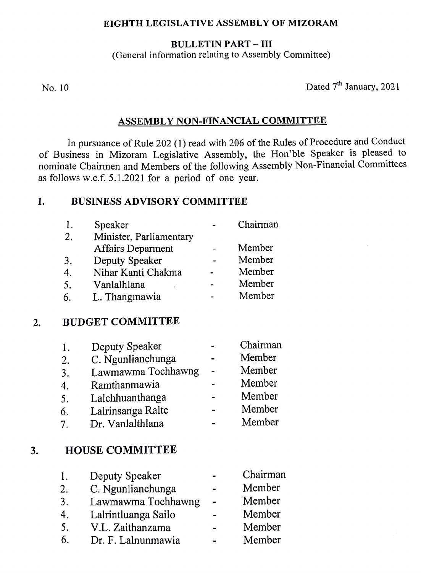#### EIGHTH LEGISLATIVE ASSEMBLY OF MIZORAM

#### BULLETIN PART - III

(General information relating to Assembly Committee)

No. 10 Dated  $7<sup>th</sup>$  January, 2021

### ASSEMBLY NON-FINANCIAL COMMITTEE

In pursuance of Rule 202 (1) read with 206 of the Rules of Procedure and Conduct of Business in Mizoram Legislative Assembly, the Hon'ble Speaker is pleased to nominate Chairmen and Members of the following Assembly Non-Financial Committees as follows w.e.f. 5.1.2021 for a period of one year

## 1. BUSINESS ADVISORY COMMITTEE

| 1. | Speaker                  | Chairman |
|----|--------------------------|----------|
| 2. | Minister, Parliamentary  |          |
|    | <b>Affairs Deparment</b> | Member   |
| 3. | Deputy Speaker           | Member   |
| 4. | Nihar Kanti Chakma       | Member   |
| 5. | Vanlalhlana              | Member   |
| 6. | L. Thangmawia            | Member   |

## 2. BUDGET COMMITTEE

| Chairman |
|----------|
| Member   |
| Member   |
| Member   |
| Member   |
| Member   |
| Member   |
|          |

## 3. HOUSE COMMITTEE

| Ι. | Deputy Speaker      | Chairman |
|----|---------------------|----------|
| 2. | C. Ngunlianchunga   | Member   |
| 3. | Lawmawma Tochhawng  | Member   |
| 4. | Lalrintluanga Sailo | Member   |
| 5. | V.L. Zaithanzama    | Member   |
| 6. | Dr. F. Lalnunmawia  | Member   |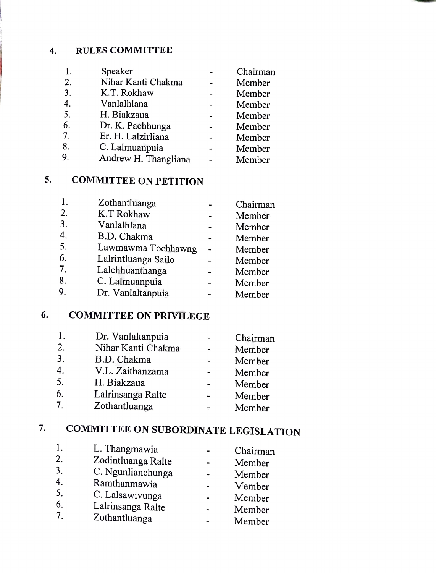#### RULES COMMITTEE  $4.$

| 1.               | Speaker              | Chairman |
|------------------|----------------------|----------|
| 2.               | Nihar Kanti Chakma   | Member   |
| 3.               | K.T. Rokhaw          | Member   |
| $\overline{4}$ . | Vanlalhlana          | Member   |
| 5.               | H. Biakzaua          | Member   |
| 6.               | Dr. K. Pachhunga     | Member   |
| 7.               | Er. H. Lalzirliana   | Member   |
| 8.               | C. Lalmuanpuia       | Member   |
| 9.               | Andrew H. Thangliana | Member   |

## 5. COMMITTEE ON PETITION

| 1. | Zothantluanga       | Chairman |
|----|---------------------|----------|
| 2. | K.T Rokhaw          | Member   |
| 3. | Vanlalhlana         | Member   |
| 4. | B.D. Chakma         | Member   |
| 5. | Lawmawma Tochhawng  | Member   |
| 6. | Lalrintluanga Sailo | Member   |
| 7. | Lalchhuanthanga     | Member   |
| 8. | C. Lalmuanpuia      | Member   |
| 9. | Dr. Vanlaltanpuia   | Member   |
|    |                     |          |

## 6. COMMITTEE ON PRIVILEGE

|             | Dr. Vanlaltanpuia  | Chairman |
|-------------|--------------------|----------|
| 2.          | Nihar Kanti Chakma | Member   |
| 3.          | B.D. Chakma        | Member   |
| 4.          | V.L. Zaithanzama   | Member   |
| 5.          | H. Biakzaua        | Member   |
| 6.          | Lalrinsanga Ralte  | Member   |
| $7_{\cdot}$ | Zothantluanga      | Member   |

# 7. COMMITTEE ON SUBORDINATE LEGISLATION

| Chairman<br>Member<br>Member<br>Member<br>Member<br>Member<br>Member |
|----------------------------------------------------------------------|
|                                                                      |